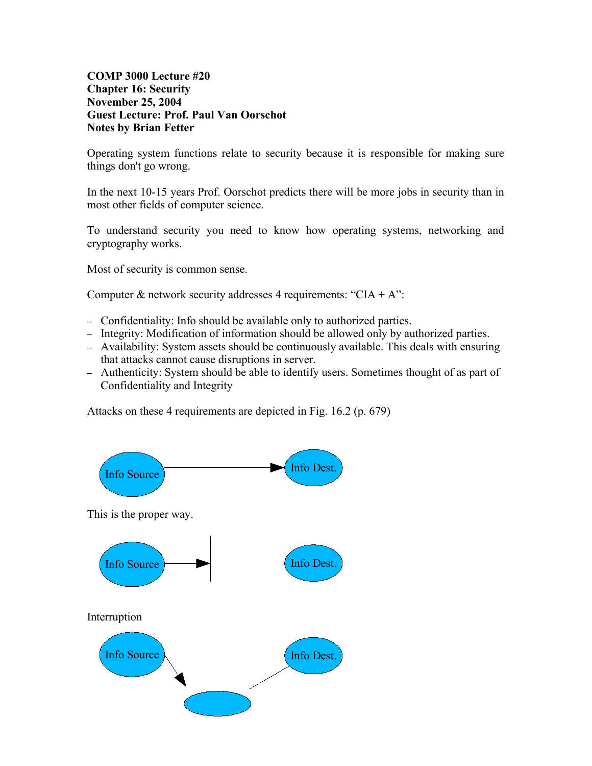### **COMP 3000 Lecture #20 Chapter 16: Security November 25, 2004 Guest Lecture: Prof. Paul Van Oorschot Notes by Brian Fetter**

Operating system functions relate to security because it is responsible for making sure things don't go wrong.

In the next 10-15 years Prof. Oorschot predicts there will be more jobs in security than in most other fields of computer science.

To understand security you need to know how operating systems, networking and cryptography works.

Most of security is common sense.

Computer & network security addresses 4 requirements: "CIA + A":

- Confidentiality: Info should be available only to authorized parties.
- Integrity: Modification of information should be allowed only by authorized parties.
- Availability: System assets should be continuously available. This deals with ensuring that attacks cannot cause disruptions in server.
- Authenticity: System should be able to identify users. Sometimes thought of as part of Confidentiality and Integrity

Attacks on these 4 requirements are depicted in Fig. 16.2 (p. 679)

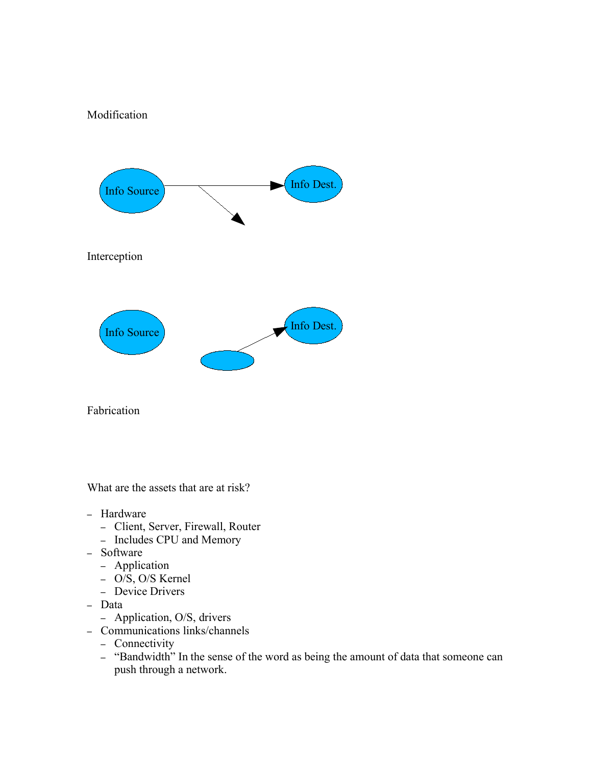# Modification



Fabrication

What are the assets that are at risk?

- Hardware
	- Client, Server, Firewall, Router
	- Includes CPU and Memory
- Software
	- Application
	- O/S, O/S Kernel
	- Device Drivers
- Data
	- Application, O/S, drivers
- Communications links/channels
	- Connectivity
	- "Bandwidth" In the sense of the word as being the amount of data that someone can push through a network.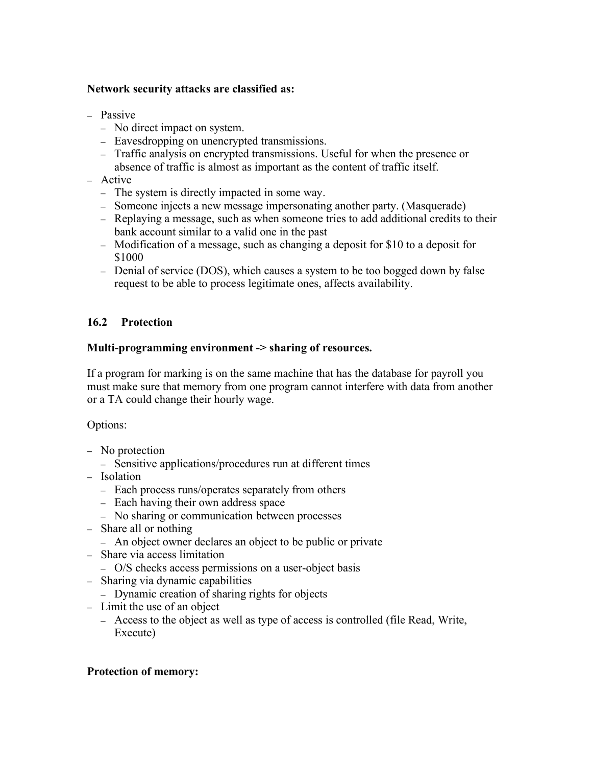### **Network security attacks are classified as:**

- Passive
	- No direct impact on system.
	- Eavesdropping on unencrypted transmissions.
	- Traffic analysis on encrypted transmissions. Useful for when the presence or absence of traffic is almost as important as the content of traffic itself.
- Active
	- The system is directly impacted in some way.
	- Someone injects a new message impersonating another party. (Masquerade)
	- Replaying a message, such as when someone tries to add additional credits to their bank account similar to a valid one in the past
	- Modification of a message, such as changing a deposit for \$10 to a deposit for \$1000
	- Denial of service (DOS), which causes a system to be too bogged down by false request to be able to process legitimate ones, affects availability.

## **16.2 Protection**

## **Multi-programming environment -> sharing of resources.**

If a program for marking is on the same machine that has the database for payroll you must make sure that memory from one program cannot interfere with data from another or a TA could change their hourly wage.

Options:

- No protection
	- Sensitive applications/procedures run at different times
- Isolation
	- Each process runs/operates separately from others
	- Each having their own address space
	- No sharing or communication between processes
- Share all or nothing
	- An object owner declares an object to be public or private
- Share via access limitation
	- O/S checks access permissions on a user-object basis
- Sharing via dynamic capabilities
	- Dynamic creation of sharing rights for objects
- Limit the use of an object
	- Access to the object as well as type of access is controlled (file Read, Write, Execute)

#### **Protection of memory:**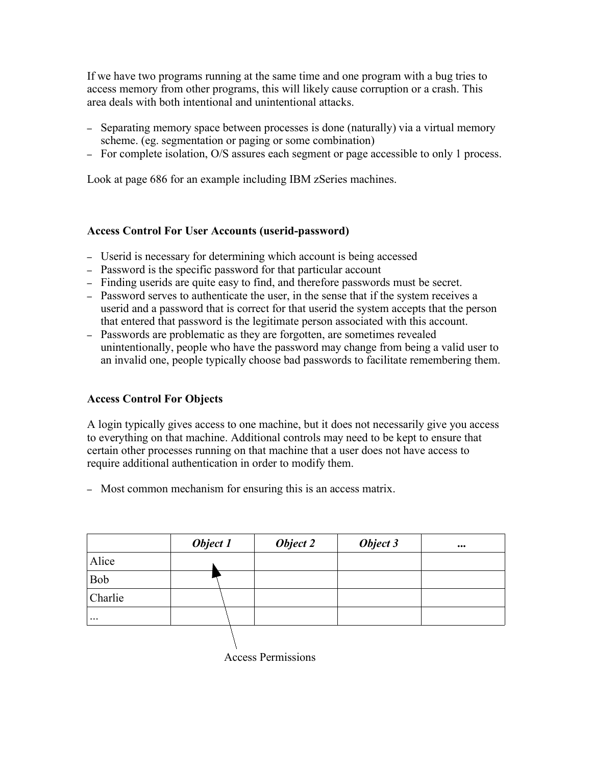If we have two programs running at the same time and one program with a bug tries to access memory from other programs, this will likely cause corruption or a crash. This area deals with both intentional and unintentional attacks.

- Separating memory space between processes is done (naturally) via a virtual memory scheme. (eg. segmentation or paging or some combination)
- For complete isolation, O/S assures each segment or page accessible to only 1 process.

Look at page 686 for an example including IBM zSeries machines.

## **Access Control For User Accounts (userid-password)**

- Userid is necessary for determining which account is being accessed
- Password is the specific password for that particular account
- Finding userids are quite easy to find, and therefore passwords must be secret.
- Password serves to authenticate the user, in the sense that if the system receives a userid and a password that is correct for that userid the system accepts that the person that entered that password is the legitimate person associated with this account.
- Passwords are problematic as they are forgotten, are sometimes revealed unintentionally, people who have the password may change from being a valid user to an invalid one, people typically choose bad passwords to facilitate remembering them.

## **Access Control For Objects**

A login typically gives access to one machine, but it does not necessarily give you access to everything on that machine. Additional controls may need to be kept to ensure that certain other processes running on that machine that a user does not have access to require additional authentication in order to modify them.

– Most common mechanism for ensuring this is an access matrix.

|           | Object 1 | Object 2 | Object 3 | $\bullet\bullet\bullet$ |
|-----------|----------|----------|----------|-------------------------|
| Alice     |          |          |          |                         |
| Bob       |          |          |          |                         |
| Charlie   |          |          |          |                         |
| $\ddotsc$ |          |          |          |                         |
|           |          |          |          |                         |

Access Permissions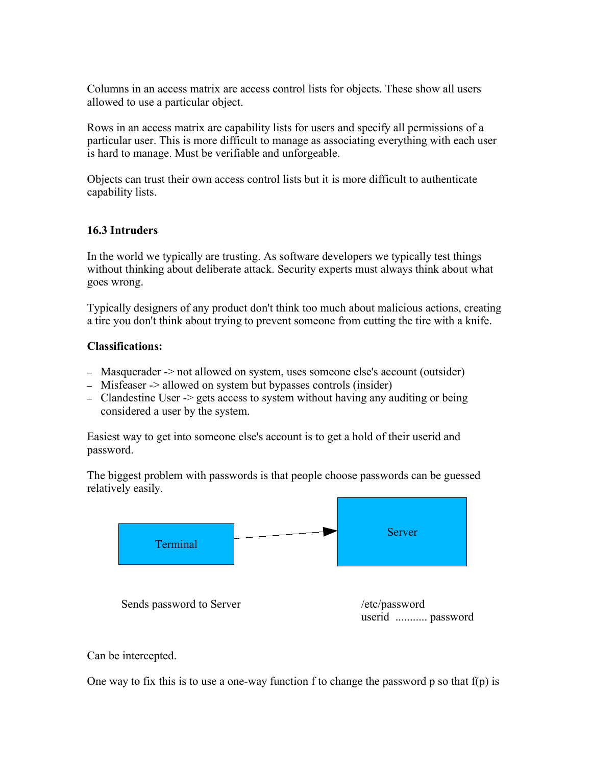Columns in an access matrix are access control lists for objects. These show all users allowed to use a particular object.

Rows in an access matrix are capability lists for users and specify all permissions of a particular user. This is more difficult to manage as associating everything with each user is hard to manage. Must be verifiable and unforgeable.

Objects can trust their own access control lists but it is more difficult to authenticate capability lists.

#### **16.3 Intruders**

In the world we typically are trusting. As software developers we typically test things without thinking about deliberate attack. Security experts must always think about what goes wrong.

Typically designers of any product don't think too much about malicious actions, creating a tire you don't think about trying to prevent someone from cutting the tire with a knife.

## **Classifications:**

- Masquerader -> not allowed on system, uses someone else's account (outsider)
- Misfeaser -> allowed on system but bypasses controls (insider)
- Clandestine User -> gets access to system without having any auditing or being considered a user by the system.

Easiest way to get into someone else's account is to get a hold of their userid and password.

The biggest problem with passwords is that people choose passwords can be guessed relatively easily.



## Can be intercepted.

One way to fix this is to use a one-way function f to change the password p so that  $f(p)$  is